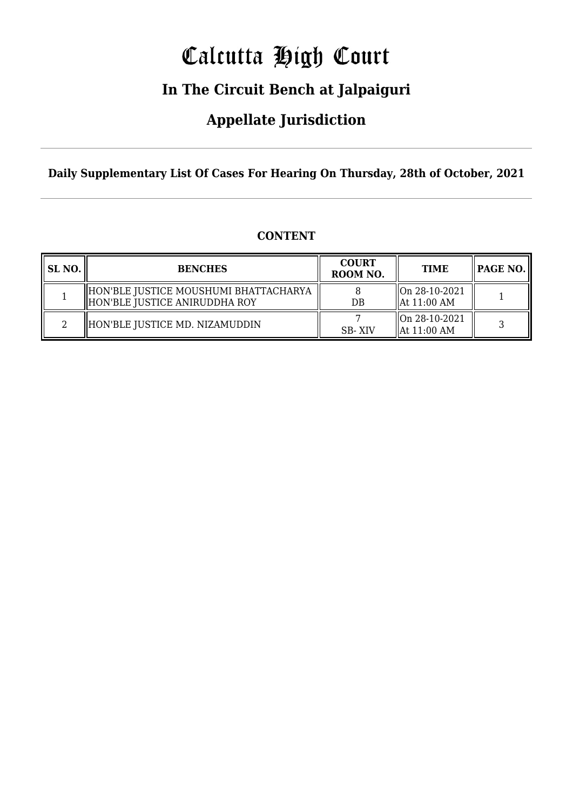# Calcutta High Court

### **In The Circuit Bench at Jalpaiguri**

### **Appellate Jurisdiction**

**Daily Supplementary List Of Cases For Hearing On Thursday, 28th of October, 2021**

|  | <b>CONTENT</b> |
|--|----------------|
|--|----------------|

| SL NO. | <b>BENCHES</b>                                                         | <b>COURT</b><br>ROOM NO. | <b>TIME</b>                                   | PAGE NO. |
|--------|------------------------------------------------------------------------|--------------------------|-----------------------------------------------|----------|
|        | HON'BLE JUSTICE MOUSHUMI BHATTACHARYA<br>HON'BLE JUSTICE ANIRUDDHA ROY | DB                       | $\ $ On 28-10-2021<br>$\parallel$ At 11:00 AM |          |
|        | HON'BLE JUSTICE MD. NIZAMUDDIN                                         | SB-XIV                   | On 28-10-2021<br>$\parallel$ At 11:00 AM      |          |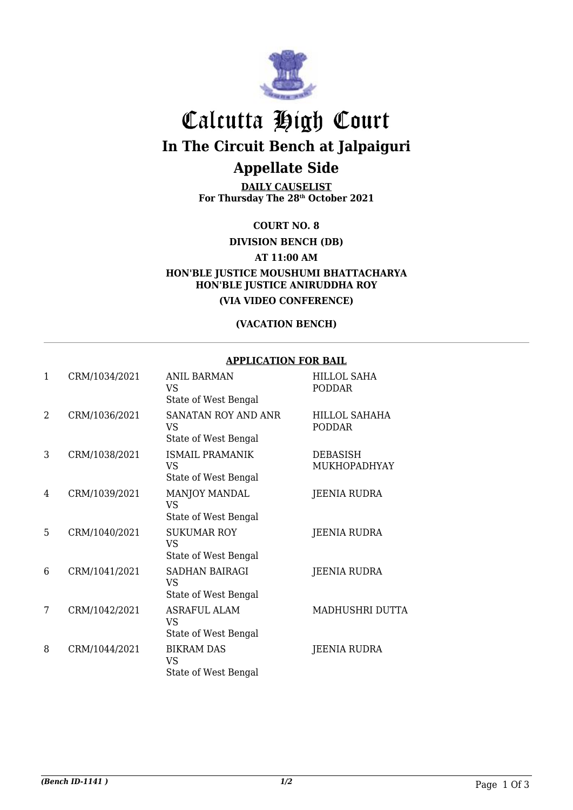

## Calcutta High Court **In The Circuit Bench at Jalpaiguri Appellate Side**

**DAILY CAUSELIST For Thursday The 28th October 2021**

**COURT NO. 8**

**DIVISION BENCH (DB)**

**AT 11:00 AM**

**HON'BLE JUSTICE MOUSHUMI BHATTACHARYA HON'BLE JUSTICE ANIRUDDHA ROY**

**(VIA VIDEO CONFERENCE)**

#### **(VACATION BENCH)**

#### **APPLICATION FOR BAIL**

| $\mathbf{1}$   | CRM/1034/2021 | <b>ANIL BARMAN</b><br>VS<br>State of West Bengal        | <b>HILLOL SAHA</b><br><b>PODDAR</b> |
|----------------|---------------|---------------------------------------------------------|-------------------------------------|
| $\overline{2}$ | CRM/1036/2021 | SANATAN ROY AND ANR<br>VS<br>State of West Bengal       | HILLOL SAHAHA<br><b>PODDAR</b>      |
| 3              | CRM/1038/2021 | <b>ISMAIL PRAMANIK</b><br>VS<br>State of West Bengal    | DEBASISH<br>MUKHOPADHYAY            |
| 4              | CRM/1039/2021 | MANJOY MANDAL<br><b>VS</b><br>State of West Bengal      | JEENIA RUDRA                        |
| 5              | CRM/1040/2021 | <b>SUKUMAR ROY</b><br><b>VS</b><br>State of West Bengal | JEENIA RUDRA                        |
| 6              | CRM/1041/2021 | SADHAN BAIRAGI<br><b>VS</b><br>State of West Bengal     | JEENIA RUDRA                        |
| 7              | CRM/1042/2021 | <b>ASRAFUL ALAM</b><br>VS<br>State of West Bengal       | MADHUSHRI DUTTA                     |
| 8              | CRM/1044/2021 | <b>BIKRAM DAS</b><br><b>VS</b><br>State of West Bengal  | JEENIA RUDRA                        |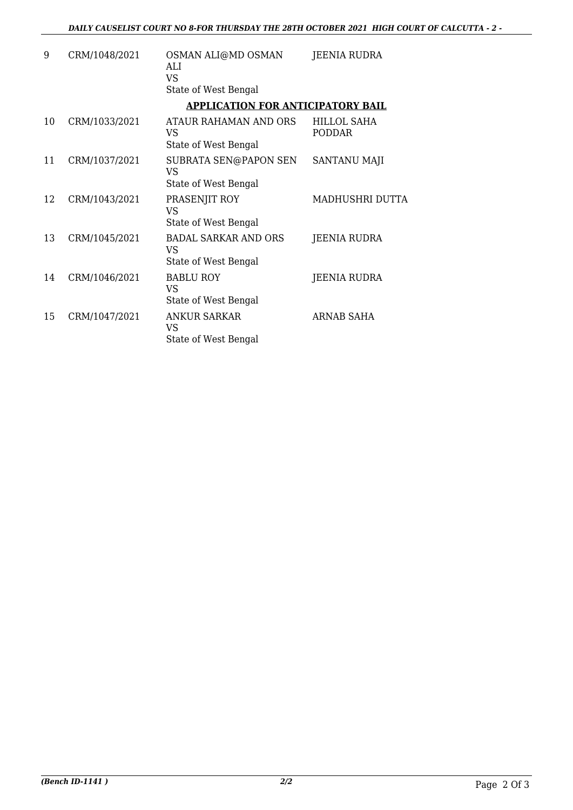| 9  | CRM/1048/2021 | OSMAN ALI@MD OSMAN<br>ALI<br>VS.<br>State of West Bengal         | JEENIA RUDRA                        |
|----|---------------|------------------------------------------------------------------|-------------------------------------|
|    |               | <b>APPLICATION FOR ANTICIPATORY BAIL</b>                         |                                     |
| 10 | CRM/1033/2021 | ATAUR RAHAMAN AND ORS<br>VS<br>State of West Bengal              | <b>HILLOL SAHA</b><br><b>PODDAR</b> |
| 11 | CRM/1037/2021 | SUBRATA SEN@PAPON SEN<br>VS<br>State of West Bengal              | SANTANU MAJI                        |
| 12 | CRM/1043/2021 | PRASENJIT ROY<br><b>VS</b><br>State of West Bengal               | MADHUSHRI DUTTA                     |
| 13 | CRM/1045/2021 | <b>BADAL SARKAR AND ORS</b><br><b>VS</b><br>State of West Bengal | JEENIA RUDRA                        |
| 14 | CRM/1046/2021 | <b>BABLU ROY</b><br><b>VS</b><br>State of West Bengal            | <b>JEENIA RUDRA</b>                 |
| 15 | CRM/1047/2021 | <b>ANKUR SARKAR</b><br><b>VS</b><br>State of West Bengal         | <b>ARNAB SAHA</b>                   |